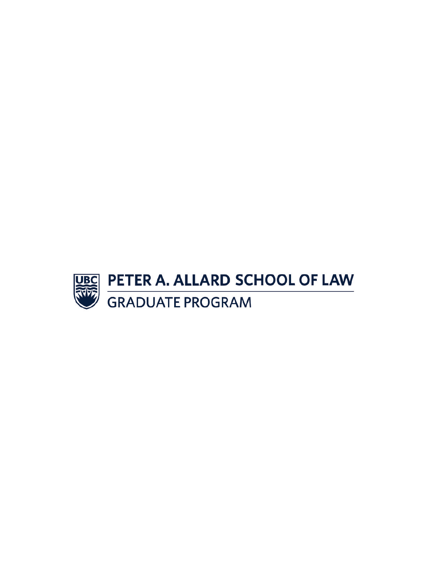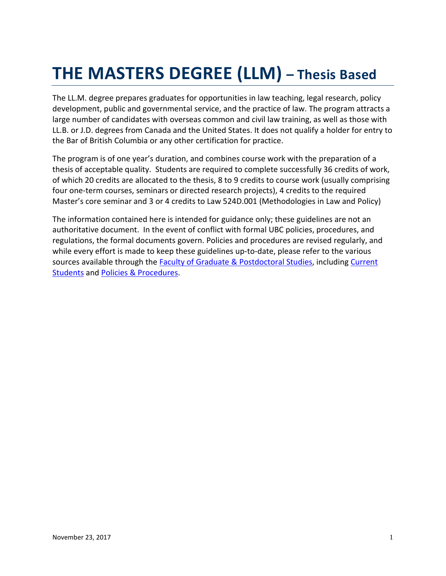# **THE MASTERS DEGREE (LLM) – Thesis Based**

The LL.M. degree prepares graduates for opportunities in law teaching, legal research, policy development, public and governmental service, and the practice of law. The program attracts a large number of candidates with overseas common and civil law training, as well as those with LL.B. or J.D. degrees from Canada and the United States. It does not qualify a holder for entry to the Bar of British Columbia or any other certification for practice.

The program is of one year's duration, and combines course work with the preparation of a thesis of acceptable quality. Students are required to complete successfully 36 credits of work, of which 20 credits are allocated to the thesis, 8 to 9 credits to course work (usually comprising four one-term courses, seminars or directed research projects), 4 credits to the required Master's core seminar and 3 or 4 credits to Law 524D.001 (Methodologies in Law and Policy)

The information contained here is intended for guidance only; these guidelines are not an authoritative document. In the event of conflict with formal UBC policies, procedures, and regulations, the formal documents govern. Policies and procedures are revised regularly, and while every effort is made to keep these guidelines up-to-date, please refer to the various sources available through th[e Faculty of Graduate & Postdoctoral Studies,](http://www.grad.ubc.ca/) including Current [Students](http://www.grad.ubc.ca/current-students) and [Policies & Procedures.](http://www.grad.ubc.ca/faculty-staff/policies-procedures)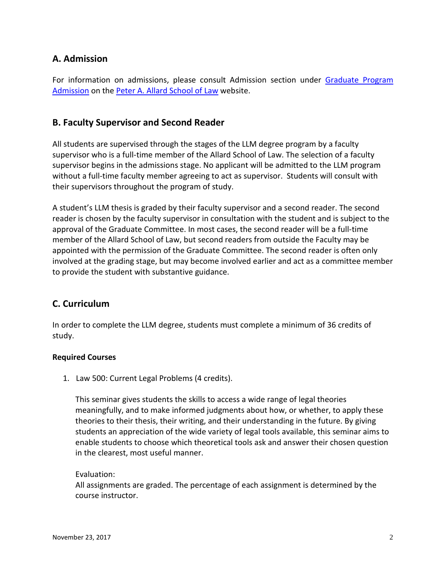# **A. Admission**

For information on admissions, please consult Admission section under Graduate Program [Admission](http://www.law.ubc.ca/admissions/graduate-program-admission/masters-llm-program) on the [Peter A. Allard School of Law](http://www.allard.ubc.ca/) website.

# **B. Faculty Supervisor and Second Reader**

All students are supervised through the stages of the LLM degree program by a faculty supervisor who is a full-time member of the Allard School of Law. The selection of a faculty supervisor begins in the admissions stage. No applicant will be admitted to the LLM program without a full-time faculty member agreeing to act as supervisor. Students will consult with their supervisors throughout the program of study.

A student's LLM thesis is graded by their faculty supervisor and a second reader. The second reader is chosen by the faculty supervisor in consultation with the student and is subject to the approval of the Graduate Committee. In most cases, the second reader will be a full-time member of the Allard School of Law, but second readers from outside the Faculty may be appointed with the permission of the Graduate Committee. The second reader is often only involved at the grading stage, but may become involved earlier and act as a committee member to provide the student with substantive guidance.

# **C. Curriculum**

In order to complete the LLM degree, students must complete a minimum of 36 credits of study.

## **Required Courses**

1. Law 500: Current Legal Problems (4 credits).

This seminar gives students the skills to access a wide range of legal theories meaningfully, and to make informed judgments about how, or whether, to apply these theories to their thesis, their writing, and their understanding in the future. By giving students an appreciation of the wide variety of legal tools available, this seminar aims to enable students to choose which theoretical tools ask and answer their chosen question in the clearest, most useful manner.

## Evaluation:

All assignments are graded. The percentage of each assignment is determined by the course instructor.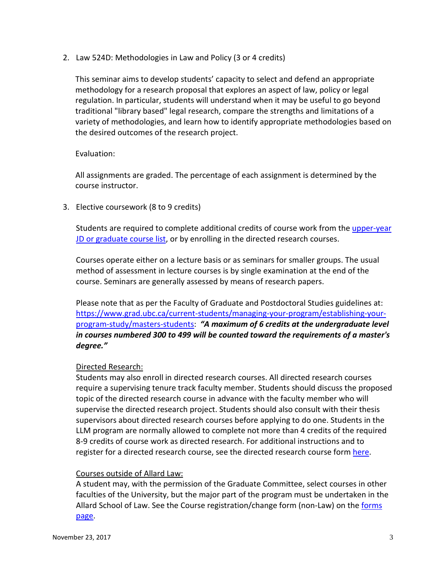2. Law 524D: Methodologies in Law and Policy (3 or 4 credits)

This seminar aims to develop students' capacity to select and defend an appropriate methodology for a research proposal that explores an aspect of law, policy or legal regulation. In particular, students will understand when it may be useful to go beyond traditional "library based" legal research, compare the strengths and limitations of a variety of methodologies, and learn how to identify appropriate methodologies based on the desired outcomes of the research project.

## Evaluation:

All assignments are graded. The percentage of each assignment is determined by the course instructor.

3. Elective coursework (8 to 9 credits)

Students are required to complete additional credits of course work from the [upper-year](http://www.law.ubc.ca/student-resources/graduate-student-resources/graduate-program-academic-services)  [JD or graduate course list,](http://www.law.ubc.ca/student-resources/graduate-student-resources/graduate-program-academic-services) or by enrolling in the directed research courses.

Courses operate either on a lecture basis or as seminars for smaller groups. The usual method of assessment in lecture courses is by single examination at the end of the course. Seminars are generally assessed by means of research papers.

Please note that as per the Faculty of Graduate and Postdoctoral Studies guidelines at: [https://www.grad.ubc.ca/current-students/managing-your-program/establishing-your](https://www.grad.ubc.ca/current-students/managing-your-program/establishing-your-program-study/masters-students)[program-study/masters-students:](https://www.grad.ubc.ca/current-students/managing-your-program/establishing-your-program-study/masters-students) *"A maximum of 6 credits at the undergraduate level in courses numbered 300 to 499 will be counted toward the requirements of a master's degree."*

## Directed Research:

Students may also enroll in directed research courses. All directed research courses require a supervising tenure track faculty member. Students should discuss the proposed topic of the directed research course in advance with the faculty member who will supervise the directed research project. Students should also consult with their thesis supervisors about directed research courses before applying to do one. Students in the LLM program are normally allowed to complete not more than 4 credits of the required 8-9 credits of course work as directed research. For additional instructions and to register for a directed research course, see the directed research course form [here.](http://www.allard.ubc.ca/sites/www.allard.ubc.ca/files/uploads/events/grad/directed_research.pdf)

## Courses outside of Allard Law:

A student may, with the permission of the Graduate Committee, select courses in other faculties of the University, but the major part of the program must be undertaken in the Allard School of Law. See the Course registration/change form (non-Law) on the [forms](http://www.law.ubc.ca/graduate-program-forms)  [page.](http://www.law.ubc.ca/graduate-program-forms)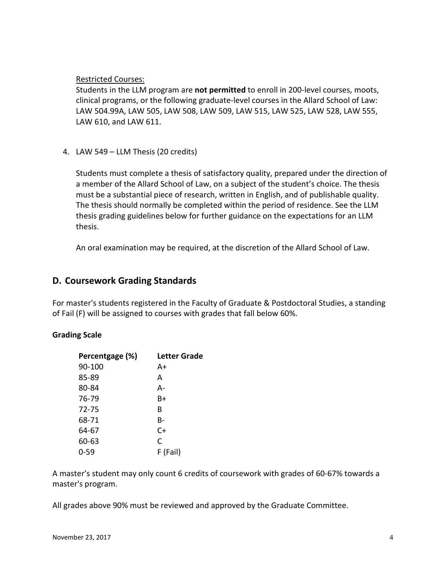Restricted Courses:

Students in the LLM program are **not permitted** to enroll in 200-level courses, moots, clinical programs, or the following graduate-level courses in the Allard School of Law: LAW 504.99A, LAW 505, LAW 508, LAW 509, LAW 515, LAW 525, LAW 528, LAW 555, LAW 610, and LAW 611.

4. LAW 549 – LLM Thesis (20 credits)

Students must complete a thesis of satisfactory quality, prepared under the direction of a member of the Allard School of Law, on a subject of the student's choice. The thesis must be a substantial piece of research, written in English, and of publishable quality. The thesis should normally be completed within the period of residence. See the LLM thesis grading guidelines below for further guidance on the expectations for an LLM thesis.

An oral examination may be required, at the discretion of the Allard School of Law.

# **D. Coursework Grading Standards**

For master's students registered in the Faculty of Graduate & Postdoctoral Studies, a standing of Fail (F) will be assigned to courses with grades that fall below 60%.

## **Grading Scale**

| Percentgage (%) | Letter Grade |
|-----------------|--------------|
| 90-100          | A+           |
| 85-89           | А            |
| 80-84           | А-           |
| 76-79           | B+           |
| 72-75           | R            |
| 68-71           | B-           |
| 64-67           | C+           |
| 60-63           | C            |
| 0-59            | F (Fail)     |
|                 |              |

A master's student may only count 6 credits of coursework with grades of 60-67% towards a master's program.

All grades above 90% must be reviewed and approved by the Graduate Committee.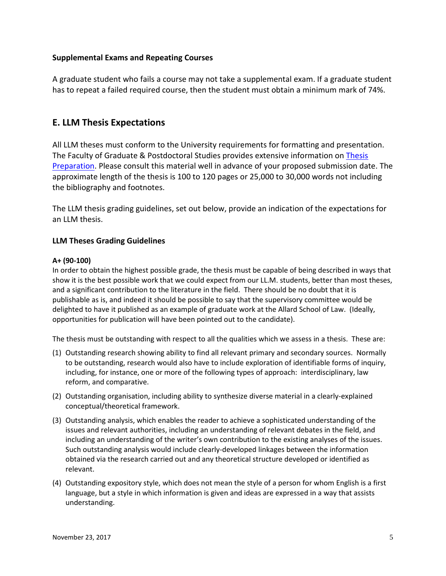## **Supplemental Exams and Repeating Courses**

A graduate student who fails a course may not take a supplemental exam. If a graduate student has to repeat a failed required course, then the student must obtain a minimum mark of 74%.

# **E. LLM Thesis Expectations**

All LLM theses must conform to the University requirements for formatting and presentation. The Faculty of Graduate & Postdoctoral Studies provides extensive information on [Thesis](https://www.grad.ubc.ca/current-students/dissertation-thesis-preparation)  [Preparation.](https://www.grad.ubc.ca/current-students/dissertation-thesis-preparation) Please consult this material well in advance of your proposed submission date. The approximate length of the thesis is 100 to 120 pages or 25,000 to 30,000 words not including the bibliography and footnotes.

The LLM thesis grading guidelines, set out below, provide an indication of the expectations for an LLM thesis.

## **LLM Theses Grading Guidelines**

#### **A+ (90-100)**

In order to obtain the highest possible grade, the thesis must be capable of being described in ways that show it is the best possible work that we could expect from our LL.M. students, better than most theses, and a significant contribution to the literature in the field. There should be no doubt that it is publishable as is, and indeed it should be possible to say that the supervisory committee would be delighted to have it published as an example of graduate work at the Allard School of Law. (Ideally, opportunities for publication will have been pointed out to the candidate).

The thesis must be outstanding with respect to all the qualities which we assess in a thesis. These are:

- (1) Outstanding research showing ability to find all relevant primary and secondary sources. Normally to be outstanding, research would also have to include exploration of identifiable forms of inquiry, including, for instance, one or more of the following types of approach: interdisciplinary, law reform, and comparative.
- (2) Outstanding organisation, including ability to synthesize diverse material in a clearly-explained conceptual/theoretical framework.
- (3) Outstanding analysis, which enables the reader to achieve a sophisticated understanding of the issues and relevant authorities, including an understanding of relevant debates in the field, and including an understanding of the writer's own contribution to the existing analyses of the issues. Such outstanding analysis would include clearly-developed linkages between the information obtained via the research carried out and any theoretical structure developed or identified as relevant.
- (4) Outstanding expository style, which does not mean the style of a person for whom English is a first language, but a style in which information is given and ideas are expressed in a way that assists understanding.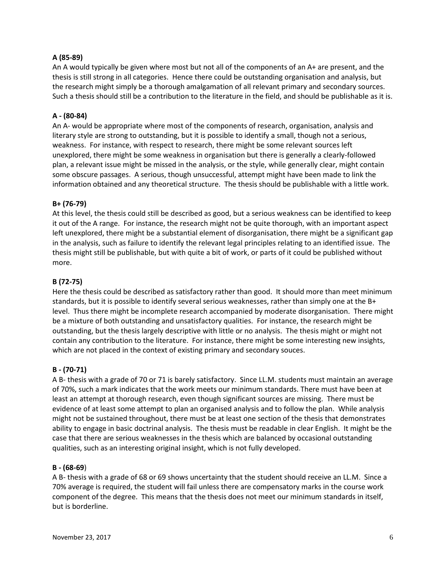#### **A (85-89)**

An A would typically be given where most but not all of the components of an A+ are present, and the thesis is still strong in all categories. Hence there could be outstanding organisation and analysis, but the research might simply be a thorough amalgamation of all relevant primary and secondary sources. Such a thesis should still be a contribution to the literature in the field, and should be publishable as it is.

#### **A - (80-84)**

An A- would be appropriate where most of the components of research, organisation, analysis and literary style are strong to outstanding, but it is possible to identify a small, though not a serious, weakness. For instance, with respect to research, there might be some relevant sources left unexplored, there might be some weakness in organisation but there is generally a clearly-followed plan, a relevant issue might be missed in the analysis, or the style, while generally clear, might contain some obscure passages. A serious, though unsuccessful, attempt might have been made to link the information obtained and any theoretical structure. The thesis should be publishable with a little work.

#### **B+ (76-79)**

At this level, the thesis could still be described as good, but a serious weakness can be identified to keep it out of the A range. For instance, the research might not be quite thorough, with an important aspect left unexplored, there might be a substantial element of disorganisation, there might be a significant gap in the analysis, such as failure to identify the relevant legal principles relating to an identified issue. The thesis might still be publishable, but with quite a bit of work, or parts of it could be published without more.

#### **B (72-75)**

Here the thesis could be described as satisfactory rather than good. It should more than meet minimum standards, but it is possible to identify several serious weaknesses, rather than simply one at the B+ level. Thus there might be incomplete research accompanied by moderate disorganisation. There might be a mixture of both outstanding and unsatisfactory qualities. For instance, the research might be outstanding, but the thesis largely descriptive with little or no analysis. The thesis might or might not contain any contribution to the literature. For instance, there might be some interesting new insights, which are not placed in the context of existing primary and secondary souces.

#### **B - (70-71)**

A B- thesis with a grade of 70 or 71 is barely satisfactory. Since LL.M. students must maintain an average of 70%, such a mark indicates that the work meets our minimum standards. There must have been at least an attempt at thorough research, even though significant sources are missing. There must be evidence of at least some attempt to plan an organised analysis and to follow the plan. While analysis might not be sustained throughout, there must be at least one section of the thesis that demonstrates ability to engage in basic doctrinal analysis. The thesis must be readable in clear English. It might be the case that there are serious weaknesses in the thesis which are balanced by occasional outstanding qualities, such as an interesting original insight, which is not fully developed.

#### **B - (68-69**)

A B- thesis with a grade of 68 or 69 shows uncertainty that the student should receive an LL.M. Since a 70% average is required, the student will fail unless there are compensatory marks in the course work component of the degree. This means that the thesis does not meet our minimum standards in itself, but is borderline.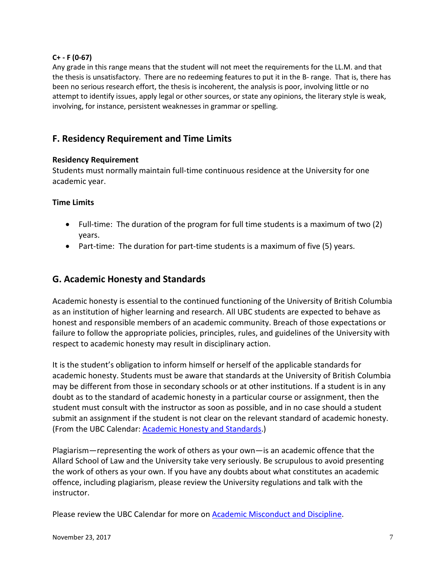## **C+ - F (0-67)**

Any grade in this range means that the student will not meet the requirements for the LL.M. and that the thesis is unsatisfactory. There are no redeeming features to put it in the B- range. That is, there has been no serious research effort, the thesis is incoherent, the analysis is poor, involving little or no attempt to identify issues, apply legal or other sources, or state any opinions, the literary style is weak, involving, for instance, persistent weaknesses in grammar or spelling.

# **F. Residency Requirement and Time Limits**

## **Residency Requirement**

Students must normally maintain full-time continuous residence at the University for one academic year.

## **Time Limits**

- Full-time: The duration of the program for full time students is a maximum of two (2) years.
- Part-time: The duration for part-time students is a maximum of five (5) years.

# **G. Academic Honesty and Standards**

Academic honesty is essential to the continued functioning of the University of British Columbia as an institution of higher learning and research. All UBC students are expected to behave as honest and responsible members of an academic community. Breach of those expectations or failure to follow the appropriate policies, principles, rules, and guidelines of the University with respect to academic honesty may result in disciplinary action.

It is the student's obligation to inform himself or herself of the applicable standards for academic honesty. Students must be aware that standards at the University of British Columbia may be different from those in secondary schools or at other institutions. If a student is in any doubt as to the standard of academic honesty in a particular course or assignment, then the student must consult with the instructor as soon as possible, and in no case should a student submit an assignment if the student is not clear on the relevant standard of academic honesty. (From the UBC Calendar[: Academic Honesty and Standards.](http://www.calendar.ubc.ca/vancouver/index.cfm?tree=3,286,0,0))

Plagiarism—representing the work of others as your own—is an academic offence that the Allard School of Law and the University take very seriously. Be scrupulous to avoid presenting the work of others as your own. If you have any doubts about what constitutes an academic offence, including plagiarism, please review the University regulations and talk with the instructor.

Please review the UBC Calendar for more on [Academic Misconduct and Discipline.](http://www.calendar.ubc.ca/vancouver/index.cfm?tree=3,54,111,0)